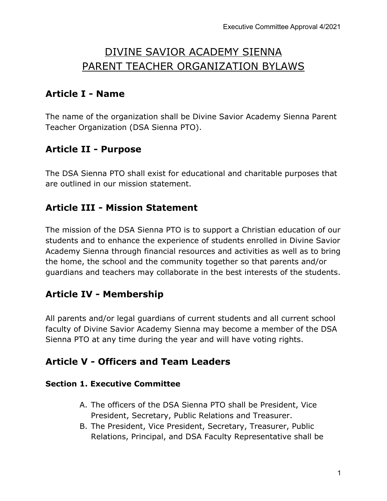# DIVINE SAVIOR ACADEMY SIENNA PARENT TEACHER ORGANIZATION BYLAWS

# **Article I - Name**

The name of the organization shall be Divine Savior Academy Sienna Parent Teacher Organization (DSA Sienna PTO).

# **Article II - Purpose**

The DSA Sienna PTO shall exist for educational and charitable purposes that are outlined in our mission statement.

### **Article III - Mission Statement**

The mission of the DSA Sienna PTO is to support a Christian education of our students and to enhance the experience of students enrolled in Divine Savior Academy Sienna through financial resources and activities as well as to bring the home, the school and the community together so that parents and/or guardians and teachers may collaborate in the best interests of the students.

### **Article IV - Membership**

All parents and/or legal guardians of current students and all current school faculty of Divine Savior Academy Sienna may become a member of the DSA Sienna PTO at any time during the year and will have voting rights.

### **Article V - Officers and Team Leaders**

#### **Section 1. Executive Committee**

- A. The officers of the DSA Sienna PTO shall be President, Vice President, Secretary, Public Relations and Treasurer.
- B. The President, Vice President, Secretary, Treasurer, Public Relations, Principal, and DSA Faculty Representative shall be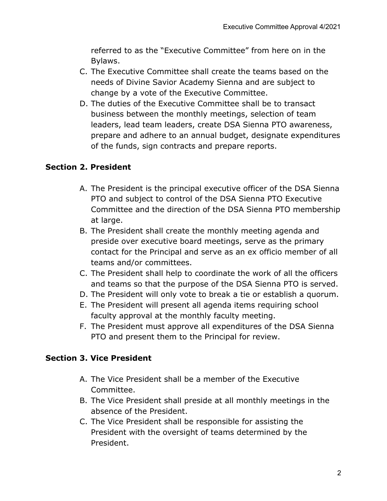referred to as the "Executive Committee" from here on in the Bylaws.

- C. The Executive Committee shall create the teams based on the needs of Divine Savior Academy Sienna and are subject to change by a vote of the Executive Committee.
- D. The duties of the Executive Committee shall be to transact business between the monthly meetings, selection of team leaders, lead team leaders, create DSA Sienna PTO awareness, prepare and adhere to an annual budget, designate expenditures of the funds, sign contracts and prepare reports.

### **Section 2. President**

- A. The President is the principal executive officer of the DSA Sienna PTO and subject to control of the DSA Sienna PTO Executive Committee and the direction of the DSA Sienna PTO membership at large.
- B. The President shall create the monthly meeting agenda and preside over executive board meetings, serve as the primary contact for the Principal and serve as an ex officio member of all teams and/or committees.
- C. The President shall help to coordinate the work of all the officers and teams so that the purpose of the DSA Sienna PTO is served.
- D. The President will only vote to break a tie or establish a quorum.
- E. The President will present all agenda items requiring school faculty approval at the monthly faculty meeting.
- F. The President must approve all expenditures of the DSA Sienna PTO and present them to the Principal for review.

### **Section 3. Vice President**

- A. The Vice President shall be a member of the Executive Committee.
- B. The Vice President shall preside at all monthly meetings in the absence of the President.
- C. The Vice President shall be responsible for assisting the President with the oversight of teams determined by the President.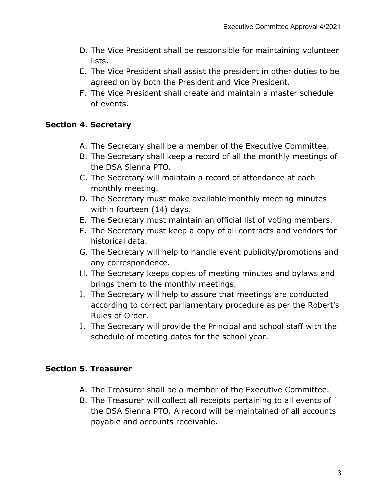- D. The Vice President shall be responsible for maintaining volunteer lists.
- E. The Vice President shall assist the president in other duties to be agreed on by both the President and Vice President.
- F. The Vice President shall create and maintain a master schedule of events.

### **Section 4. Secretary**

- A. The Secretary shall be a member of the Executive Committee.
- B. The Secretary shall keep a record of all the monthly meetings of the DSA Sienna PTO.
- C. The Secretary will maintain a record of attendance at each monthly meeting.
- D. The Secretary must make available monthly meeting minutes within fourteen (14) days.
- E. The Secretary must maintain an official list of voting members.
- F. The Secretary must keep a copy of all contracts and vendors for historical data.
- G. The Secretary will help to handle event publicity/promotions and any correspondence.
- H. The Secretary keeps copies of meeting minutes and bylaws and brings them to the monthly meetings.
- I. The Secretary will help to assure that meetings are conducted according to correct parliamentary procedure as per the Robert's Rules of Order.
- J. The Secretary will provide the Principal and school staff with the schedule of meeting dates for the school year.

### **Section 5. Treasurer**

- A. The Treasurer shall be a member of the Executive Committee.
- B. The Treasurer will collect all receipts pertaining to all events of the DSA Sienna PTO. A record will be maintained of all accounts payable and accounts receivable.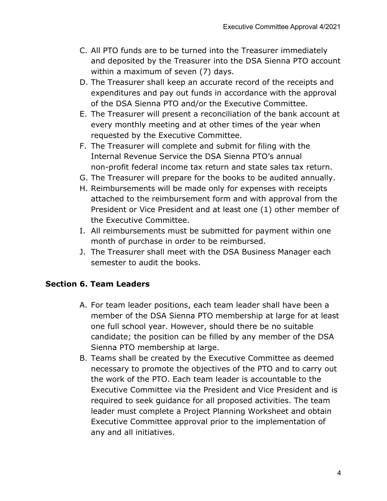- C. All PTO funds are to be turned into the Treasurer immediately and deposited by the Treasurer into the DSA Sienna PTO account within a maximum of seven (7) days.
- D. The Treasurer shall keep an accurate record of the receipts and expenditures and pay out funds in accordance with the approval of the DSA Sienna PTO and/or the Executive Committee.
- E. The Treasurer will present a reconciliation of the bank account at every monthly meeting and at other times of the year when requested by the Executive Committee.
- F. The Treasurer will complete and submit for filing with the Internal Revenue Service the DSA Sienna PTO's annual non-profit federal income tax return and state sales tax return.
- G. The Treasurer will prepare for the books to be audited annually.
- H. Reimbursements will be made only for expenses with receipts attached to the reimbursement form and with approval from the President or Vice President and at least one (1) other member of the Executive Committee.
- I. All reimbursements must be submitted for payment within one month of purchase in order to be reimbursed.
- J. The Treasurer shall meet with the DSA Business Manager each semester to audit the books.

### **Section 6. Team Leaders**

- A. For team leader positions, each team leader shall have been a member of the DSA Sienna PTO membership at large for at least one full school year. However, should there be no suitable candidate; the position can be filled by any member of the DSA Sienna PTO membership at large.
- B. Teams shall be created by the Executive Committee as deemed necessary to promote the objectives of the PTO and to carry out the work of the PTO. Each team leader is accountable to the Executive Committee via the President and Vice President and is required to seek guidance for all proposed activities. The team leader must complete a Project Planning Worksheet and obtain Executive Committee approval prior to the implementation of any and all initiatives.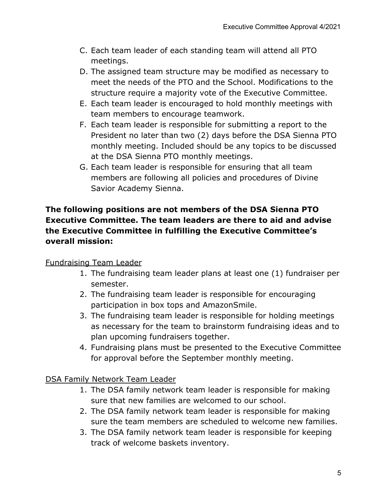- C. Each team leader of each standing team will attend all PTO meetings.
- D. The assigned team structure may be modified as necessary to meet the needs of the PTO and the School. Modifications to the structure require a majority vote of the Executive Committee.
- E. Each team leader is encouraged to hold monthly meetings with team members to encourage teamwork.
- F. Each team leader is responsible for submitting a report to the President no later than two (2) days before the DSA Sienna PTO monthly meeting. Included should be any topics to be discussed at the DSA Sienna PTO monthly meetings.
- G. Each team leader is responsible for ensuring that all team members are following all policies and procedures of Divine Savior Academy Sienna.

### **The following positions are not members of the DSA Sienna PTO Executive Committee. The team leaders are there to aid and advise the Executive Committee in fulfilling the Executive Committee's overall mission:**

### Fundraising Team Leader

- 1. The fundraising team leader plans at least one (1) fundraiser per semester.
- 2. The fundraising team leader is responsible for encouraging participation in box tops and AmazonSmile.
- 3. The fundraising team leader is responsible for holding meetings as necessary for the team to brainstorm fundraising ideas and to plan upcoming fundraisers together.
- 4. Fundraising plans must be presented to the Executive Committee for approval before the September monthly meeting.

DSA Family Network Team Leader

- 1. The DSA family network team leader is responsible for making sure that new families are welcomed to our school.
- 2. The DSA family network team leader is responsible for making sure the team members are scheduled to welcome new families.
- 3. The DSA family network team leader is responsible for keeping track of welcome baskets inventory.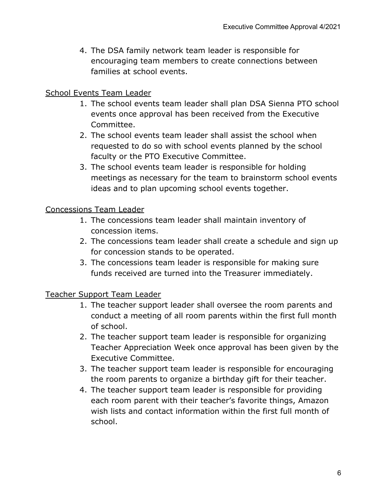4. The DSA family network team leader is responsible for encouraging team members to create connections between families at school events.

#### School Events Team Leader

- 1. The school events team leader shall plan DSA Sienna PTO school events once approval has been received from the Executive Committee.
- 2. The school events team leader shall assist the school when requested to do so with school events planned by the school faculty or the PTO Executive Committee.
- 3. The school events team leader is responsible for holding meetings as necessary for the team to brainstorm school events ideas and to plan upcoming school events together.

#### Concessions Team Leader

- 1. The concessions team leader shall maintain inventory of concession items.
- 2. The concessions team leader shall create a schedule and sign up for concession stands to be operated.
- 3. The concessions team leader is responsible for making sure funds received are turned into the Treasurer immediately.

#### Teacher Support Team Leader

- 1. The teacher support leader shall oversee the room parents and conduct a meeting of all room parents within the first full month of school.
- 2. The teacher support team leader is responsible for organizing Teacher Appreciation Week once approval has been given by the Executive Committee.
- 3. The teacher support team leader is responsible for encouraging the room parents to organize a birthday gift for their teacher.
- 4. The teacher support team leader is responsible for providing each room parent with their teacher's favorite things, Amazon wish lists and contact information within the first full month of school.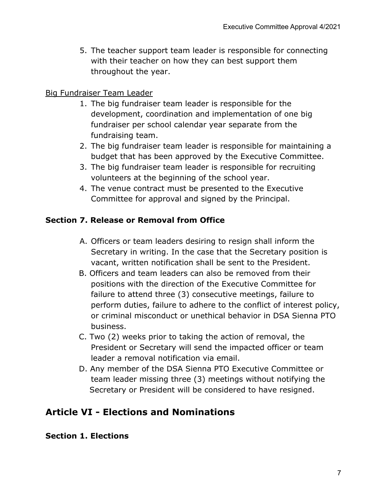5. The teacher support team leader is responsible for connecting with their teacher on how they can best support them throughout the year.

#### Big Fundraiser Team Leader

- 1. The big fundraiser team leader is responsible for the development, coordination and implementation of one big fundraiser per school calendar year separate from the fundraising team.
- 2. The big fundraiser team leader is responsible for maintaining a budget that has been approved by the Executive Committee.
- 3. The big fundraiser team leader is responsible for recruiting volunteers at the beginning of the school year.
- 4. The venue contract must be presented to the Executive Committee for approval and signed by the Principal.

### **Section 7. Release or Removal from Office**

- A. Officers or team leaders desiring to resign shall inform the Secretary in writing. In the case that the Secretary position is vacant, written notification shall be sent to the President.
- B. Officers and team leaders can also be removed from their positions with the direction of the Executive Committee for failure to attend three (3) consecutive meetings, failure to perform duties, failure to adhere to the conflict of interest policy, or criminal misconduct or unethical behavior in DSA Sienna PTO business.
- C. Two (2) weeks prior to taking the action of removal, the President or Secretary will send the impacted officer or team leader a removal notification via email.
- D. Any member of the DSA Sienna PTO Executive Committee or team leader missing three (3) meetings without notifying the Secretary or President will be considered to have resigned.

# **Article VI - Elections and Nominations**

#### **Section 1. Elections**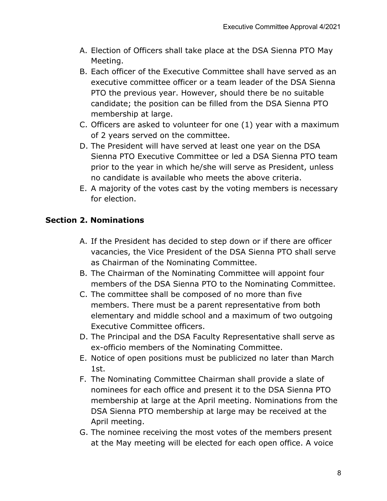- A. Election of Officers shall take place at the DSA Sienna PTO May Meeting.
- B. Each officer of the Executive Committee shall have served as an executive committee officer or a team leader of the DSA Sienna PTO the previous year. However, should there be no suitable candidate; the position can be filled from the DSA Sienna PTO membership at large.
- C. Officers are asked to volunteer for one (1) year with a maximum of 2 years served on the committee.
- D. The President will have served at least one year on the DSA Sienna PTO Executive Committee or led a DSA Sienna PTO team prior to the year in which he/she will serve as President, unless no candidate is available who meets the above criteria.
- E. A majority of the votes cast by the voting members is necessary for election.

### **Section 2. Nominations**

- A. If the President has decided to step down or if there are officer vacancies, the Vice President of the DSA Sienna PTO shall serve as Chairman of the Nominating Committee.
- B. The Chairman of the Nominating Committee will appoint four members of the DSA Sienna PTO to the Nominating Committee.
- C. The committee shall be composed of no more than five members. There must be a parent representative from both elementary and middle school and a maximum of two outgoing Executive Committee officers.
- D. The Principal and the DSA Faculty Representative shall serve as ex-officio members of the Nominating Committee.
- E. Notice of open positions must be publicized no later than March 1st.
- F. The Nominating Committee Chairman shall provide a slate of nominees for each office and present it to the DSA Sienna PTO membership at large at the April meeting. Nominations from the DSA Sienna PTO membership at large may be received at the April meeting.
- G. The nominee receiving the most votes of the members present at the May meeting will be elected for each open office. A voice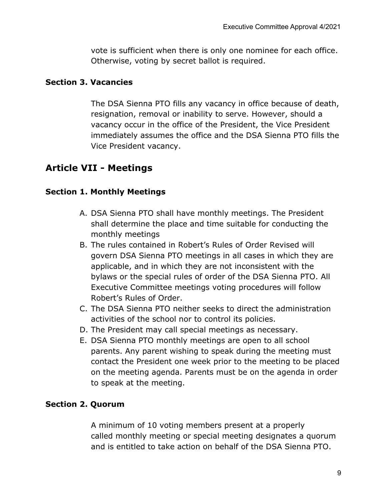vote is sufficient when there is only one nominee for each office. Otherwise, voting by secret ballot is required.

#### **Section 3. Vacancies**

The DSA Sienna PTO fills any vacancy in office because of death, resignation, removal or inability to serve. However, should a vacancy occur in the office of the President, the Vice President immediately assumes the office and the DSA Sienna PTO fills the Vice President vacancy.

### **Article VII - Meetings**

#### **Section 1. Monthly Meetings**

- A. DSA Sienna PTO shall have monthly meetings. The President shall determine the place and time suitable for conducting the monthly meetings
- B. The rules contained in Robert's Rules of Order Revised will govern DSA Sienna PTO meetings in all cases in which they are applicable, and in which they are not inconsistent with the bylaws or the special rules of order of the DSA Sienna PTO. All Executive Committee meetings voting procedures will follow Robert's Rules of Order.
- C. The DSA Sienna PTO neither seeks to direct the administration activities of the school nor to control its policies.
- D. The President may call special meetings as necessary.
- E. DSA Sienna PTO monthly meetings are open to all school parents. Any parent wishing to speak during the meeting must contact the President one week prior to the meeting to be placed on the meeting agenda. Parents must be on the agenda in order to speak at the meeting.

### **Section 2. Quorum**

A minimum of 10 voting members present at a properly called monthly meeting or special meeting designates a quorum and is entitled to take action on behalf of the DSA Sienna PTO.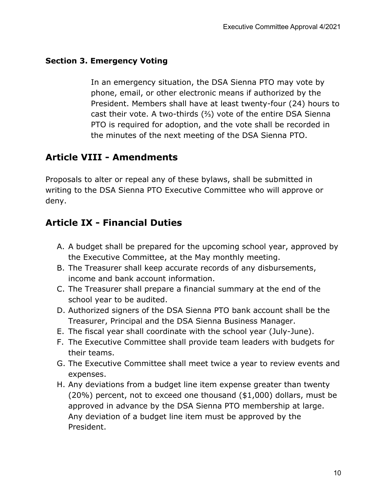#### **Section 3. Emergency Voting**

In an emergency situation, the DSA Sienna PTO may vote by phone, email, or other electronic means if authorized by the President. Members shall have at least twenty-four (24) hours to cast their vote. A two-thirds (⅔) vote of the entire DSA Sienna PTO is required for adoption, and the vote shall be recorded in the minutes of the next meeting of the DSA Sienna PTO.

# **Article VIII - Amendments**

Proposals to alter or repeal any of these bylaws, shall be submitted in writing to the DSA Sienna PTO Executive Committee who will approve or deny.

# **Article IX - Financial Duties**

- A. A budget shall be prepared for the upcoming school year, approved by the Executive Committee, at the May monthly meeting.
- B. The Treasurer shall keep accurate records of any disbursements, income and bank account information.
- C. The Treasurer shall prepare a financial summary at the end of the school year to be audited.
- D. Authorized signers of the DSA Sienna PTO bank account shall be the Treasurer, Principal and the DSA Sienna Business Manager.
- E. The fiscal year shall coordinate with the school year (July-June).
- F. The Executive Committee shall provide team leaders with budgets for their teams.
- G. The Executive Committee shall meet twice a year to review events and expenses.
- H. Any deviations from a budget line item expense greater than twenty (20%) percent, not to exceed one thousand (\$1,000) dollars, must be approved in advance by the DSA Sienna PTO membership at large. Any deviation of a budget line item must be approved by the President.